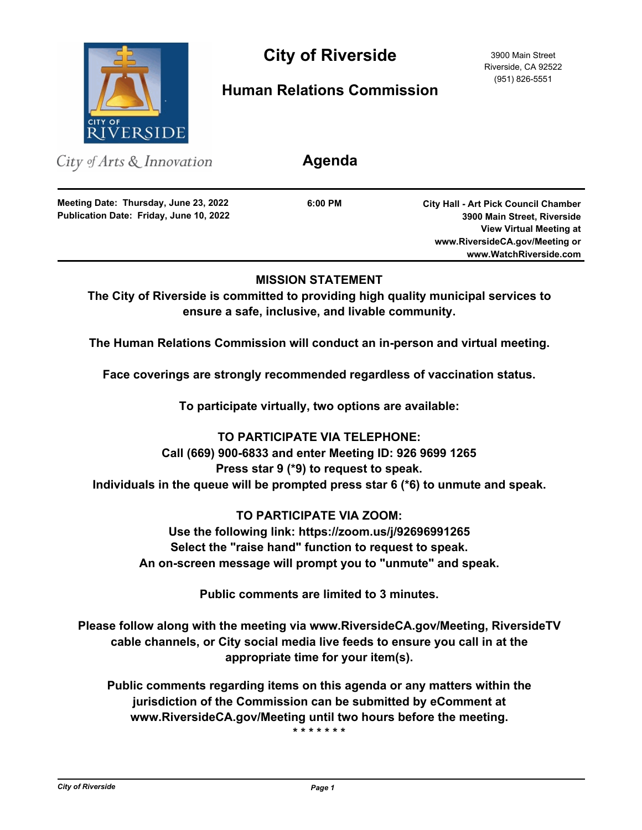

# City of Riverside 3900 Main Street

# **Human Relations Commission**

Riverside, CA 92522 (951) 826-5551

City of Arts & Innovation

**Publication Date: Friday, June 10, 2022 Meeting Date: Thursday, June 23, 2022**

**6:00 PM**

**Agenda**

**City Hall - Art Pick Council Chamber 3900 Main Street, Riverside View Virtual Meeting at www.RiversideCA.gov/Meeting or www.WatchRiverside.com**

### **MISSION STATEMENT**

**The City of Riverside is committed to providing high quality municipal services to ensure a safe, inclusive, and livable community.**

**The Human Relations Commission will conduct an in-person and virtual meeting.**

**Face coverings are strongly recommended regardless of vaccination status.**

**To participate virtually, two options are available:** 

**TO PARTICIPATE VIA TELEPHONE: Call (669) 900-6833 and enter Meeting ID: 926 9699 1265 Press star 9 (\*9) to request to speak. Individuals in the queue will be prompted press star 6 (\*6) to unmute and speak.**

**TO PARTICIPATE VIA ZOOM: Use the following link: https://zoom.us/j/92696991265 Select the "raise hand" function to request to speak. An on-screen message will prompt you to "unmute" and speak.**

**Public comments are limited to 3 minutes.**

**Please follow along with the meeting via www.RiversideCA.gov/Meeting, RiversideTV cable channels, or City social media live feeds to ensure you call in at the appropriate time for your item(s).**

**Public comments regarding items on this agenda or any matters within the jurisdiction of the Commission can be submitted by eComment at www.RiversideCA.gov/Meeting until two hours before the meeting.**

**\* \* \* \* \* \* \***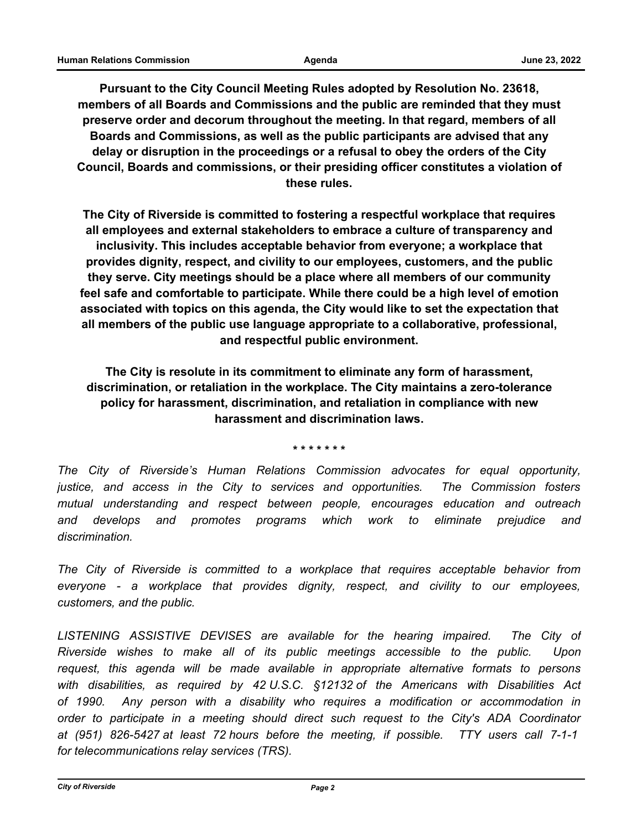**Pursuant to the City Council Meeting Rules adopted by Resolution No. 23618, members of all Boards and Commissions and the public are reminded that they must preserve order and decorum throughout the meeting. In that regard, members of all Boards and Commissions, as well as the public participants are advised that any delay or disruption in the proceedings or a refusal to obey the orders of the City Council, Boards and commissions, or their presiding officer constitutes a violation of these rules.**

**The City of Riverside is committed to fostering a respectful workplace that requires all employees and external stakeholders to embrace a culture of transparency and inclusivity. This includes acceptable behavior from everyone; a workplace that provides dignity, respect, and civility to our employees, customers, and the public they serve. City meetings should be a place where all members of our community feel safe and comfortable to participate. While there could be a high level of emotion associated with topics on this agenda, the City would like to set the expectation that all members of the public use language appropriate to a collaborative, professional, and respectful public environment.**

**The City is resolute in its commitment to eliminate any form of harassment, discrimination, or retaliation in the workplace. The City maintains a zero-tolerance policy for harassment, discrimination, and retaliation in compliance with new harassment and discrimination laws.**

**\* \* \* \* \* \* \***

*The City of Riverside's Human Relations Commission advocates for equal opportunity, justice, and access in the City to services and opportunities. The Commission fosters mutual understanding and respect between people, encourages education and outreach and develops and promotes programs which work to eliminate prejudice and discrimination.*

*The City of Riverside is committed to a workplace that requires acceptable behavior from everyone - a workplace that provides dignity, respect, and civility to our employees, customers, and the public.*

LISTENING ASSISTIVE DEVISES are available for the hearing impaired. The City of *Riverside wishes to make all of its public meetings accessible to the public. Upon request, this agenda will be made available in appropriate alternative formats to persons with disabilities, as required by 42 U.S.C. §12132 of the Americans with Disabilities Act of 1990. Any person with a disability who requires a modification or accommodation in order to participate in a meeting should direct such request to the City's ADA Coordinator at (951) 826-5427 at least 72 hours before the meeting, if possible. TTY users call 7-1-1 for telecommunications relay services (TRS).*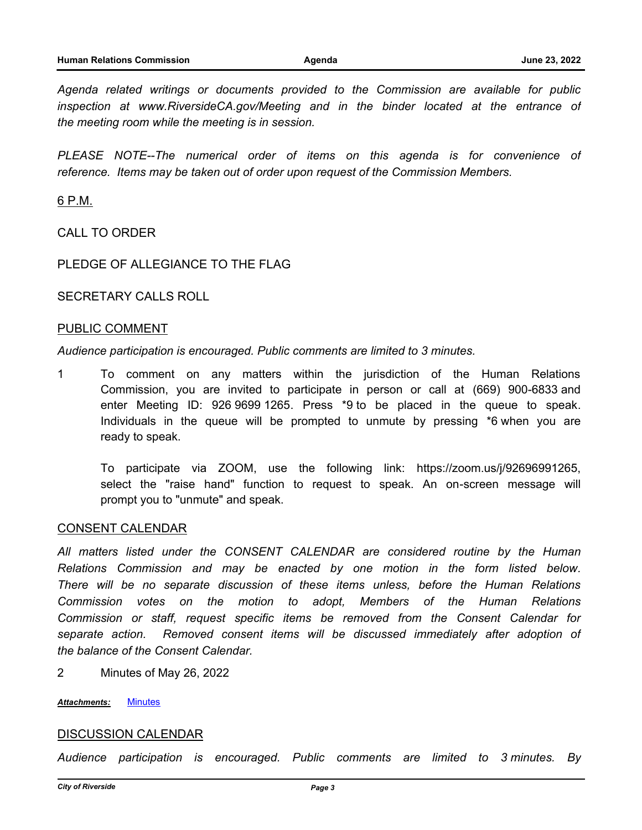*Agenda related writings or documents provided to the Commission are available for public inspection at www.RiversideCA.gov/Meeting and in the binder located at the entrance of the meeting room while the meeting is in session.*

PLEASE NOTE--The numerical order of items on this agenda is for convenience of *reference. Items may be taken out of order upon request of the Commission Members.*

6 P.M.

CALL TO ORDER

PLEDGE OF ALLEGIANCE TO THE FLAG

SECRETARY CALLS ROLL

#### PUBLIC COMMENT

*Audience participation is encouraged. Public comments are limited to 3 minutes.*

1 To comment on any matters within the jurisdiction of the Human Relations Commission, you are invited to participate in person or call at (669) 900-6833 and enter Meeting ID: 926 9699 1265. Press \*9 to be placed in the queue to speak. Individuals in the queue will be prompted to unmute by pressing \*6 when you are ready to speak.

To participate via ZOOM, use the following link: https://zoom.us/j/92696991265, select the "raise hand" function to request to speak. An on-screen message will prompt you to "unmute" and speak.

#### CONSENT CALENDAR

*All matters listed under the CONSENT CALENDAR are considered routine by the Human Relations Commission and may be enacted by one motion in the form listed below. There will be no separate discussion of these items unless, before the Human Relations Commission votes on the motion to adopt, Members of the Human Relations Commission or staff, request specific items be removed from the Consent Calendar for separate action. Removed consent items will be discussed immediately after adoption of the balance of the Consent Calendar.*

2 Minutes of May 26, 2022

*Attachments:* [Minutes](http://riversideca.legistar.com/gateway.aspx?M=F&ID=24caf293-7cee-4407-bab9-2fed1b25ee0b.docx)

#### DISCUSSION CALENDAR

*Audience participation is encouraged. Public comments are limited to 3 minutes. By*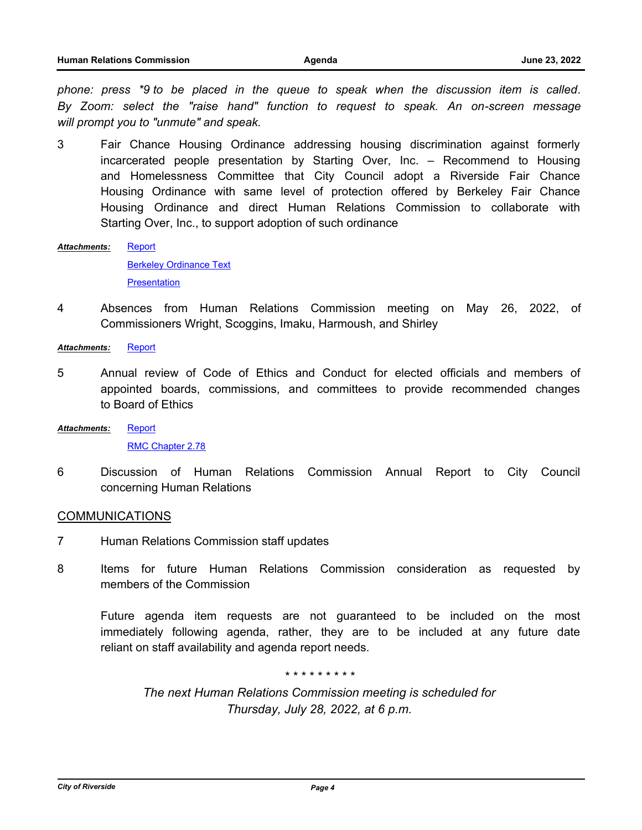*phone: press \*9 to be placed in the queue to speak when the discussion item is called. By Zoom: select the "raise hand" function to request to speak. An on-screen message will prompt you to "unmute" and speak.*

3 Fair Chance Housing Ordinance addressing housing discrimination against formerly incarcerated people presentation by Starting Over, Inc. – Recommend to Housing and Homelessness Committee that City Council adopt a Riverside Fair Chance Housing Ordinance with same level of protection offered by Berkeley Fair Chance Housing Ordinance and direct Human Relations Commission to collaborate with Starting Over, Inc., to support adoption of such ordinance

**[Report](http://riversideca.legistar.com/gateway.aspx?M=F&ID=9ea47a34-6d94-4b0c-8eb2-57290842285b.docx)** *Attachments:*

> [Berkeley Ordinance Text](http://riversideca.legistar.com/gateway.aspx?M=F&ID=dcf231f9-c5a1-4d1a-8f54-2f33e0de05bc.pdf) **[Presentation](http://riversideca.legistar.com/gateway.aspx?M=F&ID=9e97fa4b-390d-49d0-9e64-0ea795e6ffb2.pdf)**

4 Absences from Human Relations Commission meeting on May 26, 2022, of Commissioners Wright, Scoggins, Imaku, Harmoush, and Shirley

*Attachments:* [Report](http://riversideca.legistar.com/gateway.aspx?M=F&ID=5baf2820-0eeb-4ebb-aa1e-3a1fdeb81447.docx)

- 5 Annual review of Code of Ethics and Conduct for elected officials and members of appointed boards, commissions, and committees to provide recommended changes to Board of Ethics
- [Report](http://riversideca.legistar.com/gateway.aspx?M=F&ID=c1fb3d2c-fa04-4912-8ab4-956ab29a21b7.docx) *Attachments:*

[RMC Chapter 2.78](http://riversideca.legistar.com/gateway.aspx?M=F&ID=fd343a7c-960e-4905-8db7-2266fbcd7031.pdf)

6 Discussion of Human Relations Commission Annual Report to City Council concerning Human Relations

#### COMMUNICATIONS

- 7 Human Relations Commission staff updates
- 8 Items for future Human Relations Commission consideration as requested by members of the Commission

Future agenda item requests are not guaranteed to be included on the most immediately following agenda, rather, they are to be included at any future date reliant on staff availability and agenda report needs.

*\* \* \* \* \* \* \* \* \**

*The next Human Relations Commission meeting is scheduled for Thursday, July 28, 2022, at 6 p.m.*